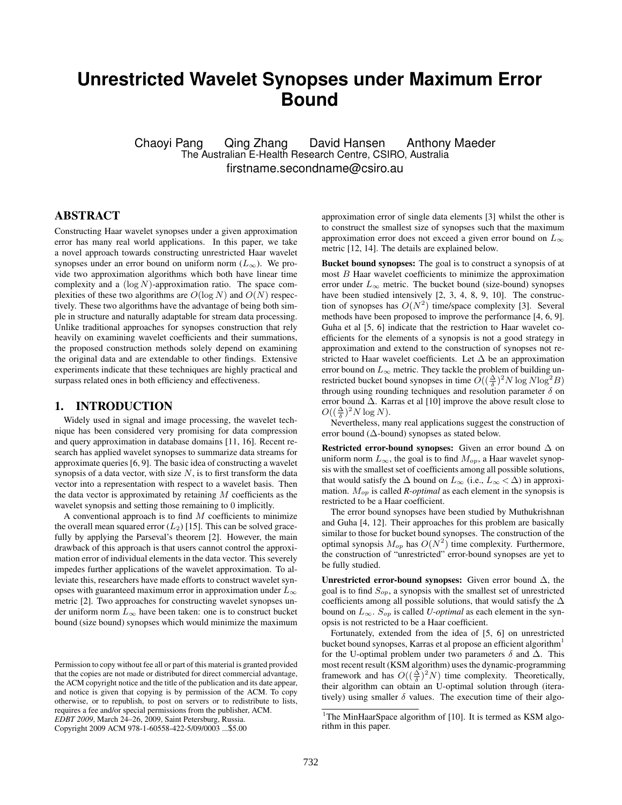# **Unrestricted Wavelet Synopses under Maximum Error Bound**

Chaoyi Pang Qing Zhang David Hansen Anthony Maeder The Australian E-Health Research Centre, CSIRO, Australia firstname.secondname@csiro.au

## ABSTRACT

Constructing Haar wavelet synopses under a given approximation error has many real world applications. In this paper, we take a novel approach towards constructing unrestricted Haar wavelet synopses under an error bound on uniform norm  $(L_{\infty})$ . We provide two approximation algorithms which both have linear time complexity and a  $(\log N)$ -approximation ratio. The space complexities of these two algorithms are  $O(\log N)$  and  $O(N)$  respectively. These two algorithms have the advantage of being both simple in structure and naturally adaptable for stream data processing. Unlike traditional approaches for synopses construction that rely heavily on examining wavelet coefficients and their summations, the proposed construction methods solely depend on examining the original data and are extendable to other findings. Extensive experiments indicate that these techniques are highly practical and surpass related ones in both efficiency and effectiveness.

#### 1. INTRODUCTION

Widely used in signal and image processing, the wavelet technique has been considered very promising for data compression and query approximation in database domains [11, 16]. Recent research has applied wavelet synopses to summarize data streams for approximate queries [6, 9]. The basic idea of constructing a wavelet synopsis of a data vector, with size  $N$ , is to first transform the data vector into a representation with respect to a wavelet basis. Then the data vector is approximated by retaining  $M$  coefficients as the wavelet synopsis and setting those remaining to 0 implicitly.

A conventional approach is to find  $M$  coefficients to minimize the overall mean squared error  $(L_2)$  [15]. This can be solved gracefully by applying the Parseval's theorem [2]. However, the main drawback of this approach is that users cannot control the approximation error of individual elements in the data vector. This severely impedes further applications of the wavelet approximation. To alleviate this, researchers have made efforts to construct wavelet synopses with guaranteed maximum error in approximation under  $L_{\infty}$ metric [2]. Two approaches for constructing wavelet synopses under uniform norm  $L_{\infty}$  have been taken: one is to construct bucket bound (size bound) synopses which would minimize the maximum

Copyright 2009 ACM 978-1-60558-422-5/09/0003 ...\$5.00

approximation error of single data elements [3] whilst the other is to construct the smallest size of synopses such that the maximum approximation error does not exceed a given error bound on  $L_{\infty}$ metric [12, 14]. The details are explained below.

Bucket bound synopses: The goal is to construct a synopsis of at most B Haar wavelet coefficients to minimize the approximation error under  $L_{\infty}$  metric. The bucket bound (size-bound) synopses have been studied intensively [2, 3, 4, 8, 9, 10]. The construction of synopses has  $O(N^2)$  time/space complexity [3]. Several methods have been proposed to improve the performance [4, 6, 9]. Guha et al [5, 6] indicate that the restriction to Haar wavelet coefficients for the elements of a synopsis is not a good strategy in approximation and extend to the construction of synopses not restricted to Haar wavelet coefficients. Let  $\Delta$  be an approximation error bound on  $L_{\infty}$  metric. They tackle the problem of building unrestricted bucket bound synopses in time  $O((\frac{\Delta}{\delta})^2 N \log N \log^2 B)$ through using rounding techniques and resolution parameter  $\delta$  on error bound ∆. Karras et al [10] improve the above result close to  $O((\frac{\Delta}{\delta})^2 N \log N).$ 

Nevertheless, many real applications suggest the construction of error bound ( $\Delta$ -bound) synopses as stated below.

Restricted error-bound synopses: Given an error bound  $\Delta$  on uniform norm  $L_{\infty}$ , the goal is to find  $M_{op}$ , a Haar wavelet synopsis with the smallest set of coefficients among all possible solutions, that would satisfy the  $\Delta$  bound on  $L_{\infty}$  (i.e.,  $L_{\infty} < \Delta$ ) in approximation.  $M_{op}$  is called *R-optimal* as each element in the synopsis is restricted to be a Haar coefficient.

The error bound synopses have been studied by Muthukrishnan and Guha [4, 12]. Their approaches for this problem are basically similar to those for bucket bound synopses. The construction of the optimal synopsis  $M_{op}$  has  $O(N^2)$  time complexity. Furthermore, the construction of "unrestricted" error-bound synopses are yet to be fully studied.

Unrestricted error-bound synopses: Given error bound  $\Delta$ , the goal is to find  $S_{op}$ , a synopsis with the smallest set of unrestricted coefficients among all possible solutions, that would satisfy the ∆ bound on  $L_{\infty}$ .  $S_{op}$  is called *U-optimal* as each element in the synopsis is not restricted to be a Haar coefficient.

Fortunately, extended from the idea of [5, 6] on unrestricted bucket bound synopses, Karras et al propose an efficient algorithm<sup>1</sup> for the U-optimal problem under two parameters  $\delta$  and  $\Delta$ . This most recent result (KSM algorithm) uses the dynamic-programming framework and has  $O((\frac{\Delta}{\delta})^2 N)$  time complexity. Theoretically, their algorithm can obtain an U-optimal solution through (iteratively) using smaller  $\delta$  values. The execution time of their algo-

Permission to copy without fee all or part of this material is granted provided that the copies are not made or distributed for direct commercial advantage, the ACM copyright notice and the title of the publication and its date appear, and notice is given that copying is by permission of the ACM. To copy otherwise, or to republish, to post on servers or to redistribute to lists, requires a fee and/or special permissions from the publisher, ACM. *EDBT 2009*, March 24–26, 2009, Saint Petersburg, Russia.

<sup>&</sup>lt;sup>1</sup>The MinHaarSpace algorithm of [10]. It is termed as KSM algorithm in this paper.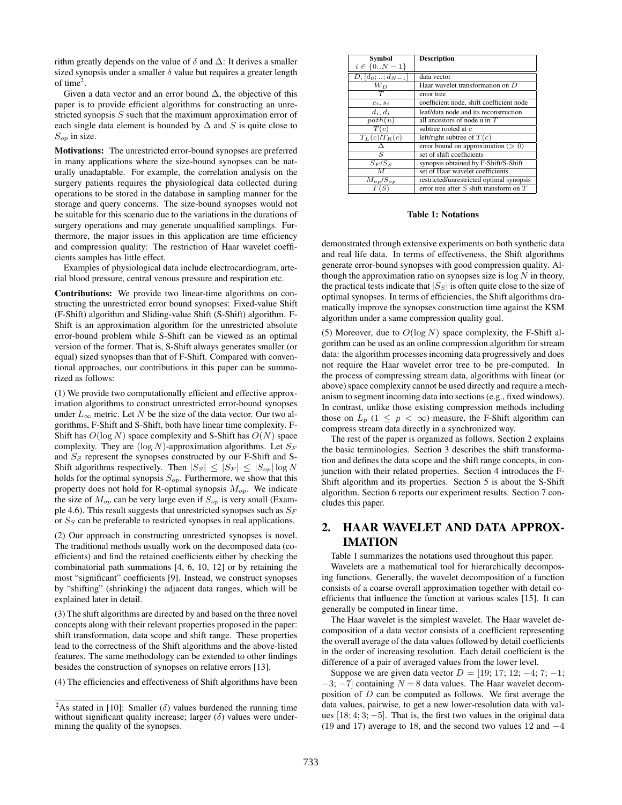rithm greatly depends on the value of  $\delta$  and  $\Delta$ : It derives a smaller sized synopsis under a smaller  $\delta$  value but requires a greater length of time $2$ .

Given a data vector and an error bound  $\Delta$ , the objective of this paper is to provide efficient algorithms for constructing an unrestricted synopsis S such that the maximum approximation error of each single data element is bounded by  $\Delta$  and S is quite close to  $S_{op}$  in size.

Motivations: The unrestricted error-bound synopses are preferred in many applications where the size-bound synopses can be naturally unadaptable. For example, the correlation analysis on the surgery patients requires the physiological data collected during operations to be stored in the database in sampling manner for the storage and query concerns. The size-bound synopses would not be suitable for this scenario due to the variations in the durations of surgery operations and may generate unqualified samplings. Furthermore, the major issues in this application are time efficiency and compression quality: The restriction of Haar wavelet coefficients samples has little effect.

Examples of physiological data include electrocardiogram, arterial blood pressure, central venous pressure and respiration etc.

Contributions: We provide two linear-time algorithms on constructing the unrestricted error bound synopses: Fixed-value Shift (F-Shift) algorithm and Sliding-value Shift (S-Shift) algorithm. F-Shift is an approximation algorithm for the unrestricted absolute error-bound problem while S-Shift can be viewed as an optimal version of the former. That is, S-Shift always generates smaller (or equal) sized synopses than that of F-Shift. Compared with conventional approaches, our contributions in this paper can be summarized as follows:

(1) We provide two computationally efficient and effective approximation algorithms to construct unrestricted error-bound synopses under  $L_{\infty}$  metric. Let N be the size of the data vector. Our two algorithms, F-Shift and S-Shift, both have linear time complexity. F-Shift has  $O(\log N)$  space complexity and S-Shift has  $O(N)$  space complexity. They are  $(\log N)$ -approximation algorithms. Let  $S_F$ and  $S<sub>S</sub>$  represent the synopses constructed by our F-Shift and S-Shift algorithms respectively. Then  $|S_S| \leq |S_F| \leq |S_{op}| \log N$ holds for the optimal synopsis  $S_{op}$ . Furthermore, we show that this property does not hold for R-optimal synopsis  $M_{op}$ . We indicate the size of  $M_{op}$  can be very large even if  $S_{op}$  is very small (Example 4.6). This result suggests that unrestricted synopses such as  $S_F$ or  $S<sub>S</sub>$  can be preferable to restricted synopses in real applications.

(2) Our approach in constructing unrestricted synopses is novel. The traditional methods usually work on the decomposed data (coefficients) and find the retained coefficients either by checking the combinatorial path summations [4, 6, 10, 12] or by retaining the most "significant" coefficients [9]. Instead, we construct synopses by "shifting" (shrinking) the adjacent data ranges, which will be explained later in detail.

(3) The shift algorithms are directed by and based on the three novel concepts along with their relevant properties proposed in the paper: shift transformation, data scope and shift range. These properties lead to the correctness of the Shift algorithms and the above-listed features. The same methodology can be extended to other findings besides the construction of synopses on relative errors [13].

(4) The efficiencies and effectiveness of Shift algorithms have been

| <b>Symbol</b>               | <b>Description</b>                          |  |  |
|-----------------------------|---------------------------------------------|--|--|
| $i \in \{0N-1\}$            |                                             |  |  |
| $D, [d_0; \ldots; d_{N-1}]$ | data vector                                 |  |  |
| $W_D$                       | Haar wavelet transformation on D            |  |  |
| $\overline{T}$              | error tree                                  |  |  |
| $c_i, s_i$                  | coefficient node, shift coefficient node    |  |  |
| $d_i, d_i$                  | leaf/data node and its reconstruction       |  |  |
| path(u)                     | all ancestors of node u in $T$              |  |  |
| T(c)                        | subtree rooted at c                         |  |  |
| $T_L(c)/T_R(c)$             | left/right subtree of $T(c)$                |  |  |
|                             | error bound on approximation $(> 0)$        |  |  |
| $\varsigma$                 | set of shift coefficients                   |  |  |
| $S_F/S_S$                   | synopsis obtained by F-Shift/S-Shift        |  |  |
| $\boldsymbol{\mathcal{M}}$  | set of Haar wavelet coefficients            |  |  |
| $M_{op}/S_{op}$             | restricted/unrestricted optimal synopsis    |  |  |
|                             | error tree after $S$ shift transform on $T$ |  |  |

Table 1: Notations

demonstrated through extensive experiments on both synthetic data and real life data. In terms of effectiveness, the Shift algorithms generate error-bound synopses with good compression quality. Although the approximation ratio on synopses size is  $\log N$  in theory, the practical tests indicate that  $|S<sub>S</sub>|$  is often quite close to the size of optimal synopses. In terms of efficiencies, the Shift algorithms dramatically improve the synopses construction time against the KSM algorithm under a same compression quality goal.

(5) Moreover, due to  $O(\log N)$  space complexity, the F-Shift algorithm can be used as an online compression algorithm for stream data: the algorithm processes incoming data progressively and does not require the Haar wavelet error tree to be pre-computed. In the process of compressing stream data, algorithms with linear (or above) space complexity cannot be used directly and require a mechanism to segment incoming data into sections (e.g., fixed windows). In contrast, unlike those existing compression methods including those on  $L_p$  (1  $\leq$   $p < \infty$ ) measure, the F-Shift algorithm can compress stream data directly in a synchronized way.

The rest of the paper is organized as follows. Section 2 explains the basic terminologies. Section 3 describes the shift transformation and defines the data scope and the shift range concepts, in conjunction with their related properties. Section 4 introduces the F-Shift algorithm and its properties. Section 5 is about the S-Shift algorithm. Section 6 reports our experiment results. Section 7 concludes this paper.

## 2. HAAR WAVELET AND DATA APPROX-IMATION

Table 1 summarizes the notations used throughout this paper.

Wavelets are a mathematical tool for hierarchically decomposing functions. Generally, the wavelet decomposition of a function consists of a coarse overall approximation together with detail coefficients that influence the function at various scales [15]. It can generally be computed in linear time.

The Haar wavelet is the simplest wavelet. The Haar wavelet decomposition of a data vector consists of a coefficient representing the overall average of the data values followed by detail coefficients in the order of increasing resolution. Each detail coefficient is the difference of a pair of averaged values from the lower level.

Suppose we are given data vector  $D = \{19; 17; 12; -4; 7; -1;$  $-3$ ;  $-7$ ] containing  $N = 8$  data values. The Haar wavelet decomposition of D can be computed as follows. We first average the data values, pairwise, to get a new lower-resolution data with values  $[18; 4; 3; -5]$ . That is, the first two values in the original data (19 and 17) average to 18, and the second two values 12 and −4

<sup>&</sup>lt;sup>2</sup>As stated in [10]: Smaller ( $\delta$ ) values burdened the running time without significant quality increase; larger  $(\delta)$  values were undermining the quality of the synopses.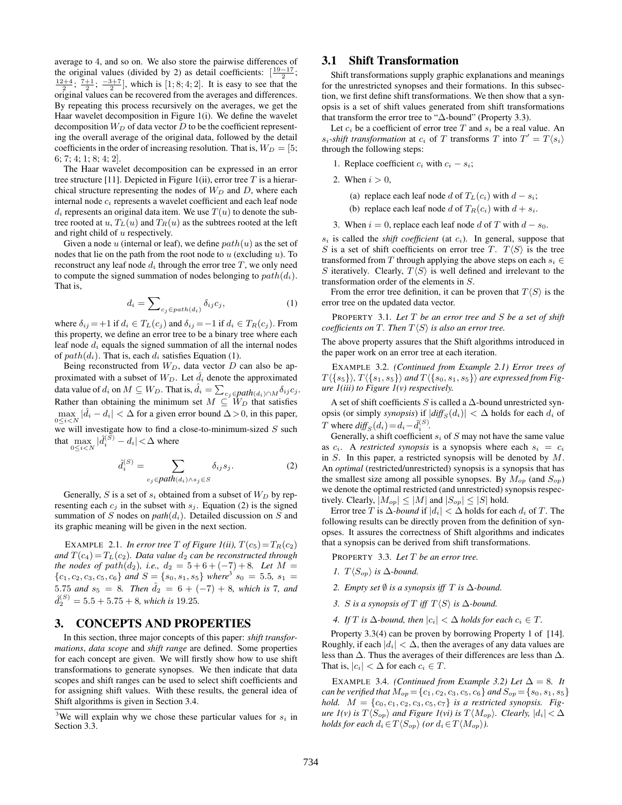average to 4, and so on. We also store the pairwise differences of the original values (divided by 2) as detail coefficients:  $\left[\frac{19-17}{2}\right]$ ;  $\frac{12+4}{2}$ ;  $\frac{7+1}{2}$ ;  $\frac{-3+7}{2}$ , which is [1; 8; 4; 2]. It is easy to see that the original values can be recovered from the averages and differences. By repeating this process recursively on the averages, we get the Haar wavelet decomposition in Figure 1(i). We define the wavelet decomposition  $W_D$  of data vector  $D$  to be the coefficient representing the overall average of the original data, followed by the detail coefficients in the order of increasing resolution. That is,  $W_D = [5;$ 6; 7; 4; 1; 8; 4; 2].

The Haar wavelet decomposition can be expressed in an error tree structure [11]. Depicted in Figure 1(ii), error tree  $T$  is a hierarchical structure representing the nodes of  $W_D$  and  $D$ , where each internal node  $c_i$  represents a wavelet coefficient and each leaf node  $d_i$  represents an original data item. We use  $T(u)$  to denote the subtree rooted at u,  $T_L(u)$  and  $T_R(u)$  as the subtrees rooted at the left and right child of u respectively.

Given a node u (internal or leaf), we define  $path(u)$  as the set of nodes that lie on the path from the root node to  $u$  (excluding  $u$ ). To reconstruct any leaf node  $d_i$  through the error tree T, we only need to compute the signed summation of nodes belonging to  $path(d_i)$ . That is,

$$
d_i = \sum_{c_j \in path(d_i)} \delta_{ij} c_j,
$$
 (1)

where  $\delta_{ij} = +1$  if  $d_i \in T_L(c_j)$  and  $\delta_{ij} = -1$  if  $d_i \in T_R(c_j)$ . From this property, we define an error tree to be a binary tree where each leaf node  $d_i$  equals the signed summation of all the internal nodes of  $path(d_i)$ . That is, each  $d_i$  satisfies Equation (1).

Being reconstructed from  $W_D$ , data vector  $D$  can also be approximated with a subset of  $W_D$ . Let  $d_i$  denote the approximated proximated with a subset of  $W_D$ . Let  $a_i$  denote the approximated data value of  $d_i$  on  $M \subseteq W_D$ . That is,  $\hat{d}_i = \sum_{c_j \in path(d_i) \cap M} \delta_{ij} c_j$ . Rather than obtaining the minimum set  $M \subseteq W_D$  that satisfies  $\max_{0 \le i \le N} |\hat{d}_i - d_i| < \Delta$  for a given error bound  $\Delta > 0$ , in this paper, we will investigate how to find a close-to-minimum-sized  $S$  such that  $\max_{0 \le i < N} |\hat{d}_i^{(S)} - d_i| < \Delta$  where

$$
\hat{d}_i^{(S)} = \sum_{c_j \in path(a_i) \land s_j \in S} \delta_{ij} s_j.
$$
 (2)

Generally, S is a set of  $s_i$  obtained from a subset of  $W_D$  by representing each  $c_j$  in the subset with  $s_j$ . Equation (2) is the signed summation of S nodes on  $path(d_i)$ . Detailed discussion on S and its graphic meaning will be given in the next section.

EXAMPLE 2.1. *In error tree* T *of Figure 1(ii)*,  $T(c_5) = T_R(c_2)$ *and*  $T(c_4) = T_L(c_2)$ *. Data value*  $d_2$  *can be reconstructed through the nodes of path* $(d_2)$ *, i.e.,*  $d_2 = 5 + 6 + (-7) + 8$ *. Let*  $M =$  ${c_1, c_2, c_3, c_5, c_6}$  *and*  $S = {s_0, s_1, s_5}$  *where*<sup>3</sup>  $s_0 = 5.5, s_1 =$ 5.75 and  $s_5 = 8$ . Then  $\hat{d}_2 = 6 + (-7) + 8$ *, which is* 7*, and*  $\hat{d}_{2}^{(S)} = 5.5 + 5.75 + 8$ *, which is* 19.25*.* 

#### 3. CONCEPTS AND PROPERTIES

In this section, three major concepts of this paper: *shift transformations*, *data scope* and *shift range* are defined. Some properties for each concept are given. We will firstly show how to use shift transformations to generate synopses. We then indicate that data scopes and shift ranges can be used to select shift coefficients and for assigning shift values. With these results, the general idea of Shift algorithms is given in Section 3.4.

#### 3.1 Shift Transformation

Shift transformations supply graphic explanations and meanings for the unrestricted synopses and their formations. In this subsection, we first define shift transformations. We then show that a synopsis is a set of shift values generated from shift transformations that transform the error tree to "∆-bound" (Property 3.3).

Let  $c_i$  be a coefficient of error tree T and  $s_i$  be a real value. An  $s_i$ -shift transformation at  $c_i$  of T transforms T into  $T' = T\langle s_i \rangle$ through the following steps:

1. Replace coefficient  $c_i$  with  $c_i - s_i$ ;

2. When  $i > 0$ ,

(a) replace each leaf node d of  $T_L(c_i)$  with  $d - s_i$ ;

(b) replace each leaf node d of  $T_R(c_i)$  with  $d + s_i$ .

3. When  $i = 0$ , replace each leaf node d of T with  $d - s_0$ .

 $s_i$  is called the *shift coefficient* (at  $c_i$ ). In general, suppose that S is a set of shift coefficients on error tree T.  $T\langle S \rangle$  is the tree transformed from T through applying the above steps on each  $s_i \in$ S iteratively. Clearly,  $T\langle S \rangle$  is well defined and irrelevant to the transformation order of the elements in S.

From the error tree definition, it can be proven that  $T\langle S \rangle$  is the error tree on the updated data vector.

PROPERTY 3.1. *Let* T *be an error tree and* S *be a set of shift coefficients on* T. Then  $T\langle S \rangle$  *is also an error tree.* 

The above property assures that the Shift algorithms introduced in the paper work on an error tree at each iteration.

EXAMPLE 3.2. *(Continued from Example 2.1) Error trees of*  $T(\{s_5\}), T(\{s_1, s_5\})$  and  $T(\{s_0, s_1, s_5\})$  are expressed from Fig*ure 1(iii) to Figure 1(v) respectively.*

A set of shift coefficients S is called a  $\Delta$ -bound unrestricted synopsis (or simply *synopsis*) if  $|diff_S(d_i)| < \Delta$  holds for each  $d_i$  of T where  $diff_S(d_i) = d_i - \hat{d}_i^{(S)}$ .

Generally, a shift coefficient  $s_i$  of  $S$  may not have the same value as  $c_i$ . A *restricted synopsis* is a synopsis where each  $s_i = c_i$ in  $S$ . In this paper, a restricted synopsis will be denoted by  $M$ . An *optimal* (restricted/unrestricted) synopsis is a synopsis that has the smallest size among all possible synopses. By  $M_{op}$  (and  $S_{op}$ ) we denote the optimal restricted (and unrestricted) synopsis respectively. Clearly,  $|M_{op}| \leq |M|$  and  $|S_{op}| \leq |S|$  hold.

Error tree T is  $\Delta$ -*bound* if  $|d_i| < \Delta$  holds for each  $d_i$  of T. The following results can be directly proven from the definition of synopses. It assures the correctness of Shift algorithms and indicates that a synopsis can be derived from shift transformations.

PROPERTY 3.3. *Let* T *be an error tree.*

- *1.*  $T\langle S_{op} \rangle$  *is*  $\Delta$ *-bound.*
- *2. Empty set* ∅ *is a synopsis iff* T *is* ∆*-bound.*
- *3. S is a synopsis of*  $T$  *iff*  $T\langle S \rangle$  *is*  $\Delta$ *-bound.*
- *4. If*  $T$  *is* ∆*-bound, then*  $|c_i| < \Delta$  *holds for each*  $c_i \in T$ *.*

Property 3.3(4) can be proven by borrowing Property 1 of [14]. Roughly, if each  $|d_i| < \Delta$ , then the averages of any data values are less than ∆. Thus the averages of their differences are less than ∆. That is,  $|c_i| < \Delta$  for each  $c_i \in T$ .

EXAMPLE 3.4. *(Continued from Example 3.2) Let*  $\Delta = 8$ *. It can be verified that*  $M_{op} = \{c_1, c_2, c_3, c_5, c_6\}$  *and*  $S_{op} = \{s_0, s_1, s_5\}$ *hold.*  $M = \{c_0, c_1, c_2, c_3, c_5, c_7\}$  *is a restricted synopsis. Figure 1(v) is*  $T\langle S_{op} \rangle$  *and Figure 1(vi) is*  $T\langle M_{op} \rangle$ *. Clearly,*  $|d_i| < \Delta$ *holds for each*  $d_i \in T\langle S_{op} \rangle$  *(or*  $d_i \in T\langle M_{op} \rangle$ *).* 

<sup>&</sup>lt;sup>3</sup>We will explain why we chose these particular values for  $s_i$  in Section 3.3.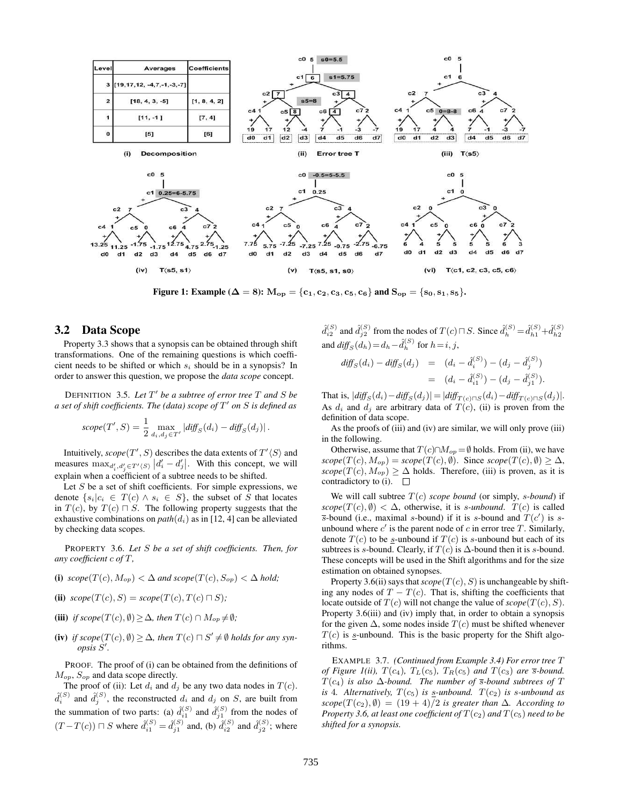

Figure 1: Example ( $\Delta = 8$ ):  $M_{op} = \{c_1, c_2, c_3, c_5, c_6\}$  and  $S_{op} = \{s_0, s_1, s_5\}.$ 

#### 3.2 Data Scope

Property 3.3 shows that a synopsis can be obtained through shift transformations. One of the remaining questions is which coefficient needs to be shifted or which  $s_i$  should be in a synopsis? In order to answer this question, we propose the *data scope* concept.

DEFINITION 3.5. Let  $T'$  be a subtree of error tree  $T$  and  $S$  be *a set of shift coefficients. The (data) scope of* T 0 *on* S *is defined as*

$$
scope(T', S) = \frac{1}{2} \max_{d_i, d_j \in T'} |diff_S(d_i) - diff_S(d_j)|.
$$

Intuitively,  $\text{scope}(T', S)$  describes the data extents of  $T' \langle S \rangle$  and measures  $\max_{d'_i, d'_j \in T'(S)} |d'_i - d'_j|$ . With this concept, we will explain when a coefficient of a subtree needs to be shifted.

Let  $S$  be a set of shift coefficients. For simple expressions, we denote  $\{s_i|c_i \in T(c) \land s_i \in S\}$ , the subset of S that locates in  $T(c)$ , by  $T(c) \sqcap S$ . The following property suggests that the exhaustive combinations on  $path(d_i)$  as in [12, 4] can be alleviated by checking data scopes.

PROPERTY 3.6. *Let* S *be a set of shift coefficients. Then, for any coefficient* c *of* T*,*

- (i)  $scope(T(c), M_{op}) < \Delta$  and  $scope(T(c), S_{op}) < \Delta$  hold;
- (ii)  $scope(T(c), S) = scope(T(c), T(c) \sqcap S);$
- (iii) *if scope*( $T(c)$ ,  $\emptyset$ )  $\geq \Delta$ *, then*  $T(c) \cap M_{op} \neq \emptyset$ *;*
- (iv) *if scope*( $T(c)$ ,  $\emptyset$ ) ≥  $\Delta$ *, then*  $T(c) \sqcap S' \neq \emptyset$  *holds for any synopsis* S 0 *.*

PROOF. The proof of (i) can be obtained from the definitions of  $M_{op}$ ,  $S_{op}$  and data scope directly.

The proof of (ii): Let  $d_i$  and  $d_j$  be any two data nodes in  $T(c)$ .  $\hat{d}_i^{(S)}$  and  $\hat{d}_j^{(S)}$ , the reconstructed  $d_i$  and  $d_j$  on S, are built from the summation of two parts: (a)  $\hat{d}_{i1}^{(S)}$  and  $\hat{d}_{j1}^{(S)}$  from the nodes of  $(T-T(c)) \sqcap S$  where  $\hat{d}_{i1}^{(S)} = \hat{d}_{j1}^{(S)}$  and, (b)  $\hat{d}_{i2}^{(S)}$  and  $\hat{d}_{j2}^{(S)}$ ; where

 $\hat{d}_{i2}^{(S)}$  and  $\hat{d}_{j2}^{(S)}$  from the nodes of  $T(c) \sqcap S$ . Since  $\hat{d}_{h}^{(S)} = \hat{d}_{h1}^{(S)} + \hat{d}_{h2}^{(S)}$ and  $\text{diff}_S(d_h) = d_h - \hat{d}_h^{(S)}$  for  $h = i, j$ ,

$$
diff_S(d_i) - diff_S(d_j) = (d_i - \hat{d}_i^{(S)}) - (d_j - \hat{d}_j^{(S)})
$$
  
= 
$$
(d_i - \hat{d}_{i1}^{(S)}) - (d_j - \hat{d}_{j1}^{(S)}).
$$

That is,  $|diff_S(d_i) - diff_S(d_j)| = |diff_{T(c) \cap S}(d_i) - diff_{T(c) \cap S}(d_j)|$ . As  $d_i$  and  $d_j$  are arbitrary data of  $T(c)$ , (ii) is proven from the definition of data scope.

As the proofs of (iii) and (iv) are similar, we will only prove (iii) in the following.

Otherwise, assume that  $T(c) \cap M_{op} = \emptyset$  holds. From (ii), we have  $scope(T(c), M_{op}) = scope(T(c), \emptyset)$ . Since  $scope(T(c), \emptyset) \geq \Delta$ ,  $scope(T(c), M_{op}) \geq \Delta$  holds. Therefore, (iii) is proven, as it is contradictory to (i).  $\Box$ 

We will call subtree  $T(c)$  *scope bound* (or simply, *s-bound*) if  $scope(T(c), \emptyset) < \Delta$ , otherwise, it is *s*-unbound.  $T(c)$  is called  $\overline{s}$ -bound (i.e., maximal s-bound) if it is s-bound and  $T(c')$  is sunbound where  $c'$  is the parent node of  $c$  in error tree  $T$ . Similarly, denote  $T(c)$  to be s-unbound if  $T(c)$  is s-unbound but each of its subtrees is s-bound. Clearly, if  $T(c)$  is  $\Delta$ -bound then it is s-bound. These concepts will be used in the Shift algorithms and for the size estimation on obtained synopses.

Property 3.6(ii) says that  $scope(T(c), S)$  is unchangeable by shifting any nodes of  $T - T(c)$ . That is, shifting the coefficients that locate outside of  $T(c)$  will not change the value of  $scope(T(c), S)$ . Property 3.6(iii) and (iv) imply that, in order to obtain a synopsis for the given  $\Delta$ , some nodes inside  $T(c)$  must be shifted whenever  $T(c)$  is s-unbound. This is the basic property for the Shift algorithms.

EXAMPLE 3.7. *(Continued from Example 3.4) For error tree* T *of Figure 1(ii),*  $T(c_4)$ *,*  $T_L(c_5)$ *,*  $T_R(c_5)$  *and*  $T(c_3)$  *are*  $\overline{s}$ *-bound.*  $T(c_4)$  *is also*  $\Delta$ *-bound. The number of*  $\overline{s}$ *-bound subtrees of*  $T$ *is* 4*.* Alternatively,  $T(c_5)$  *is* s-unbound.  $T(c_2)$  *is* s-unbound *as*  $scope(T(c_2), \emptyset) = (19 + 4)/2$  *is greater than*  $\Delta$ *. According to Property 3.6, at least one coefficient of*  $T(c_2)$  *and*  $T(c_5)$  *need to be shifted for a synopsis.*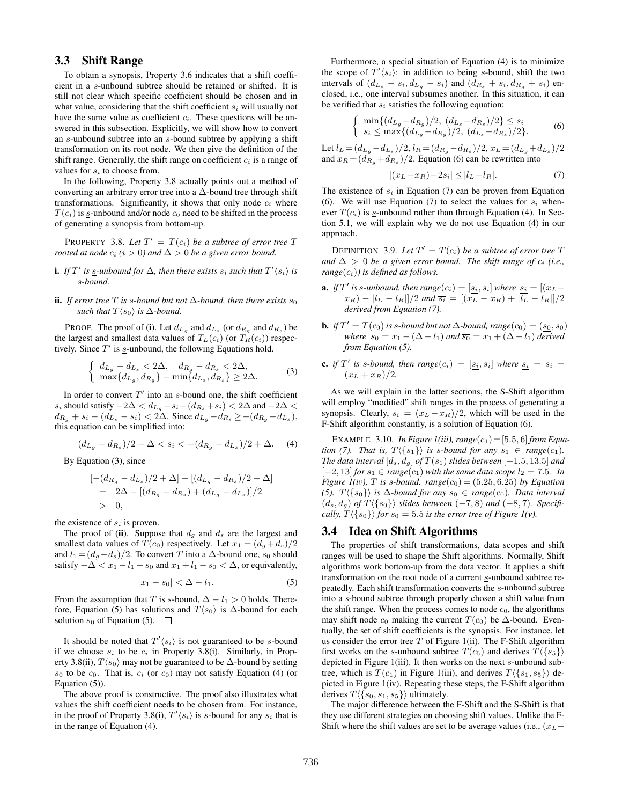## 3.3 Shift Range

To obtain a synopsis, Property 3.6 indicates that a shift coefficient in a s-unbound subtree should be retained or shifted. It is still not clear which specific coefficient should be chosen and in what value, considering that the shift coefficient  $s_i$  will usually not have the same value as coefficient  $c_i$ . These questions will be answered in this subsection. Explicitly, we will show how to convert an  $s$ -unbound subtree into an  $s$ -bound subtree by applying a shift transformation on its root node. We then give the definition of the shift range. Generally, the shift range on coefficient  $c_i$  is a range of values for  $s_i$  to choose from.

In the following, Property 3.8 actually points out a method of converting an arbitrary error tree into a  $\Delta$ -bound tree through shift transformations. Significantly, it shows that only node  $c_i$  where  $T(c_i)$  is s-unbound and/or node  $c_0$  need to be shifted in the process of generating a synopsis from bottom-up.

**PROPERTY** 3.8. Let  $T' = T(c_i)$  be a subtree of error tree T *rooted at node*  $c_i$  ( $i > 0$ ) and  $\Delta > 0$  *be a given error bound.* 

- **i.** If  $T'$  is <u>s</u>-unbound for  $\Delta$ , then there exists  $s_i$  such that  $T' \langle s_i \rangle$  is s*-bound.*
- **ii.** *If error tree*  $T$  *is s-bound but not*  $\Delta$ *-bound, then there exists*  $s_0$ *such that*  $T\langle s_0 \rangle$  *is*  $\Delta$ *-bound.*

PROOF. The proof of (i). Let  $d_{L_g}$  and  $d_{L_s}$  (or  $d_{R_g}$  and  $d_{R_s}$ ) be the largest and smallest data values of  $T_L(c_i)$  (or  $T_R(c_i)$ ) respectively. Since  $T'$  is s-unbound, the following Equations hold.

$$
\begin{cases} d_{L_g} - d_{L_s} < 2\Delta, \quad d_{R_g} - d_{R_s} < 2\Delta, \\ \max\{d_{L_g}, d_{R_g}\} - \min\{d_{L_s}, d_{R_s}\} > 2\Delta. \end{cases} \tag{3}
$$

In order to convert  $T'$  into an s-bound one, the shift coefficient s<sub>i</sub> should satisfy  $-2\Delta < d_{L_g} - s_i - (d_{R_s} + s_i) < 2\Delta$  and  $-2\Delta <$  $d_{R_g} + s_i - (d_{L_s} - s_i) < 2\Delta$ . Since  $d_{L_g} - d_{R_s} \ge -(d_{R_g} - d_{L_s}),$ this equation can be simplified into:

$$
(d_{L_g} - d_{R_s})/2 - \Delta < s_i < -(d_{R_g} - d_{L_s})/2 + \Delta. \tag{4}
$$

By Equation (3), since

$$
[-(d_{R_g} - d_{L_s})/2 + \Delta] - [(d_{L_g} - d_{R_s})/2 - \Delta]
$$
  
= 2\Delta - [(d\_{R\_g} - d\_{R\_s}) + (d\_{L\_g} - d\_{L\_s})]/2  
> 0,

the existence of  $s_i$  is proven.

The proof of (ii). Suppose that  $d_q$  and  $d_s$  are the largest and smallest data values of  $T(c_0)$  respectively. Let  $x_1 = (d_q + d_s)/2$ and  $l_1 = (d_q - d_s)/2$ . To convert T into a  $\Delta$ -bound one,  $s_0$  should satisfy  $-\Delta < x_1 - l_1 - s_0$  and  $x_1 + l_1 - s_0 < \Delta$ , or equivalently,

$$
|x_1 - s_0| < \Delta - l_1. \tag{5}
$$

From the assumption that T is s-bound,  $\Delta - l_1 > 0$  holds. Therefore, Equation (5) has solutions and  $T\langle s_0 \rangle$  is ∆-bound for each solution  $s_0$  of Equation (5).  $\Box$ 

It should be noted that  $T'(s_i)$  is not guaranteed to be s-bound if we choose  $s_i$  to be  $c_i$  in Property 3.8(i). Similarly, in Property 3.8(ii),  $T\langle s_0 \rangle$  may not be guaranteed to be  $\Delta$ -bound by setting  $s_0$  to be  $c_0$ . That is,  $c_i$  (or  $c_0$ ) may not satisfy Equation (4) (or Equation (5)).

The above proof is constructive. The proof also illustrates what values the shift coefficient needs to be chosen from. For instance, in the proof of Property 3.8(i),  $T' \langle s_i \rangle$  is s-bound for any  $s_i$  that is in the range of Equation (4).

Furthermore, a special situation of Equation (4) is to minimize the scope of  $T'(s_i)$ : in addition to being s-bound, shift the two intervals of  $(d_{L_s} - s_i, d_{L_g} - s_i)$  and  $(d_{R_s} + s_i, d_{R_g} + s_i)$  enclosed, i.e., one interval subsumes another. In this situation, it can be verified that  $s_i$  satisfies the following equation:

$$
\begin{cases}\n\min\{(d_{L_g} - d_{R_g})/2, (d_{L_s} - d_{R_s})/2\} \le s_i \\
s_i \le \max\{(d_{L_g} - d_{R_g})/2, (d_{L_s} - d_{R_s})/2\}.\n\end{cases} \tag{6}
$$

Let  $l_L = (d_{L_g} - d_{L_s})/2$ ,  $l_R = (d_{R_g} - d_{R_s})/2$ ,  $x_L = (d_{L_g} + d_{L_s})/2$ and  $x_R = (d_{R_g} + d_{R_s})/2$ . Equation (6) can be rewritten into

$$
|(x_L - x_R) - 2s_i| \le |l_L - l_R|.
$$
 (7)

The existence of  $s_i$  in Equation (7) can be proven from Equation (6). We will use Equation (7) to select the values for  $s_i$  whenever  $T(c_i)$  is s-unbound rather than through Equation (4). In Section 5.1, we will explain why we do not use Equation (4) in our approach.

DEFINITION 3.9. Let  $T' = T(c_i)$  be a subtree of error tree T and  $\Delta > 0$  *be a given error bound. The shift range of c<sub>i</sub> (i.e.,*  $range(c_i)$ *) is defined as follows.* 

- **a.** if T' is <u>s</u>-unbound, then  $range(c_i) = [s_i, \overline{s_i}]$  where  $s_i = [(x_L$  $x_R$ ) –  $|l_L - l_R||/2$  *and*  $\overline{s_i} = |(x_L - x_R) + |\overline{l_L} - l_R||/2$ *derived from Equation (7).*
- **b.** *if*  $T' = T(c_0)$  *is s-bound but not*  $\Delta$ *-bound, range* $(c_0) = (s_0, \overline{s_0})$ *where*  $s_0 = x_1 - (\Delta - l_1)$  *and*  $\overline{s_0} = x_1 + (\Delta - l_1)$  *derived from Equation (5).*
- **c.** if T' is s-bound, then range $(c_i) = [s_i, \overline{s_i}]$  where  $s_i = \overline{s_i}$  $(x_L + x_R)/2.$

As we will explain in the latter sections, the S-Shift algorithm will employ "modified" shift ranges in the process of generating a synopsis. Clearly,  $s_i = (x_L - x_R)/2$ , which will be used in the F-Shift algorithm constantly, is a solution of Equation (6).

EXAMPLE 3.10. *In Figure 1(iii), range*( $c_1$ ) = [5.5, 6] *from Equation (7). That is,*  $T \langle \{s_1\} \rangle$  *is s-bound for any*  $s_1 \in range(c_1)$ *. The data interval*  $[d_s, d_q]$  *of*  $T(s_1)$  *slides between* [−1.5, 13.5] *and*  $[-2, 13]$  *for*  $s_1 \in range(c_1)$  *with the same data scope*  $l_2 = 7.5$ *. In Figure 1(iv), T is s-bound. range*( $c_0$ ) = (5.25, 6.25) *by Equation (5).*  $T\langle \{s_0\}\rangle$  *is*  $\Delta$ *-bound for any*  $s_0 \in \text{range}(c_0)$ *. Data interval*  $(d_s, d_g)$  *of*  $T({s_0})$  *slides between* (−7,8) *and* (−8,7)*. Specifically,*  $T\langle {s_0} \rangle$  *for*  $s_0 = 5.5$  *is the error tree of Figure 1(v).* 

#### 3.4 Idea on Shift Algorithms

The properties of shift transformations, data scopes and shift ranges will be used to shape the Shift algorithms. Normally, Shift algorithms work bottom-up from the data vector. It applies a shift transformation on the root node of a current s-unbound subtree repeatedly. Each shift transformation converts the  $s$ -unbound subtree into a s-bound subtree through properly chosen a shift value from the shift range. When the process comes to node  $c_0$ , the algorithms may shift node  $c_0$  making the current  $T(c_0)$  be  $\Delta$ -bound. Eventually, the set of shift coefficients is the synopsis. For instance, let us consider the error tree  $T$  of Figure 1(ii). The F-Shift algorithm first works on the s-unbound subtree  $T(c_5)$  and derives  $T({s_5})$ depicted in Figure 1(iii). It then works on the next s-unbound subtree, which is  $T(c_1)$  in Figure 1(iii), and derives  $T\langle \{s_1, s_5\}\rangle$  depicted in Figure 1(iv). Repeating these steps, the F-Shift algorithm derives  $T\langle \{s_0, s_1, s_5\}\rangle$  ultimately.

The major difference between the F-Shift and the S-Shift is that they use different strategies on choosing shift values. Unlike the F-Shift where the shift values are set to be average values (i.e.,  $(x_L -$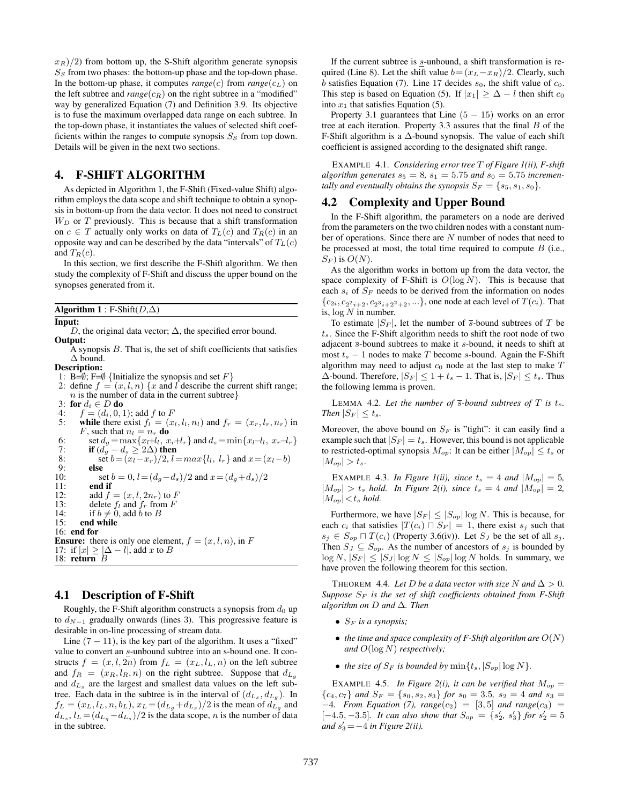$x_R$ )/2) from bottom up, the S-Shift algorithm generate synopsis  $S<sub>S</sub>$  from two phases: the bottom-up phase and the top-down phase. In the bottom-up phase, it computes  $range(c)$  from  $range(c<sub>L</sub>)$  on the left subtree and  $range(c_R)$  on the right subtree in a "modified" way by generalized Equation (7) and Definition 3.9. Its objective is to fuse the maximum overlapped data range on each subtree. In the top-down phase, it instantiates the values of selected shift coefficients within the ranges to compute synopsis  $S<sub>S</sub>$  from top down. Details will be given in the next two sections.

## 4. F-SHIFT ALGORITHM

As depicted in Algorithm 1, the F-Shift (Fixed-value Shift) algorithm employs the data scope and shift technique to obtain a synopsis in bottom-up from the data vector. It does not need to construct  $W_D$  or  $T$  previously. This is because that a shift transformation on  $c \in T$  actually only works on data of  $T_L(c)$  and  $T_R(c)$  in an opposite way and can be described by the data "intervals" of  $T_L(c)$ and  $T_R(c)$ .

In this section, we first describe the F-Shift algorithm. We then study the complexity of F-Shift and discuss the upper bound on the synopses generated from it.

Algorithm 1 : F-Shift( $D,\Delta$ )

#### Input:

D, the original data vector;  $\Delta$ , the specified error bound. Output:

 $\overline{A}$  synopsis  $B$ . That is, the set of shift coefficients that satisfies ∆ bound.

Description:

1: B= $\emptyset$ ; F= $\emptyset$  {Initialize the synopsis and set F}

2: define  $f = (x, l, n) \{x \text{ and } l \text{ describe the current shift range};$  $n$  is the number of data in the current subtree}

3: for  $d_i \in D$  do<br>4:  $f = (d_i, 0, 1)$ 

- $f = (d_i, 0, 1)$ ; add f to F 5: while there exist  $f_l = (x_l, l_l, n_l)$  and  $f_r = (x_r, l_r, n_r)$  in F, such that  $n_l = n_r$  do 6: set  $d_g = \max\{x_l + l_l, x_r + l_r\}$  and  $d_s = \min\{x_l - l_l, x_r - l_r\}$ 7: **if**  $(d_g - d_s \ge 2\Delta)$  then<br>8: **set**  $b = (x_l - x_r)/2, l =$ 8: set  $b = (x_l - x_r)/2$ ,  $l = max\{l_l, l_r\}$  and  $x = (x_l - b)$ else 10: set  $b = 0$ ,  $l = (d_g - d_s)/2$  and  $x = (d_g + d_s)/2$ <br>11: **end if** end if 12: add  $f = (x, l, 2n_r)$  to F<br>13: delete  $f_l$  and  $f_r$  from F
- 13: delete  $f_l$  and  $f_r$  from F<br>14: if  $h \neq 0$  add h to B
- if  $b \neq 0$ , add  $\dot{b}$  to  $B$ 15: end while
- 16: end for
- 

**Ensure:** there is only one element,  $f = (x, l, n)$ , in F 17: if  $|x| \geq |\Delta - l|$ , add x to B 18: return B

#### 4.1 Description of F-Shift

Roughly, the F-Shift algorithm constructs a synopsis from  $d_0$  up to  $d_{N-1}$  gradually onwards (lines 3). This progressive feature is desirable in on-line processing of stream data.

Line  $(7 - 11)$ , is the key part of the algorithm. It uses a "fixed" value to convert an s-unbound subtree into an s-bound one. It constructs  $f = (x, l, 2n)$  from  $f_L = (x_L, l_L, n)$  on the left subtree and  $f_R = (x_R, l_R, n)$  on the right subtree. Suppose that  $d_{L_q}$ and  $d_{L_s}$  are the largest and smallest data values on the left subtree. Each data in the subtree is in the interval of  $(d_{L_s}, d_{L_g})$ . In  $f_L = (x_L, l_L, n, b_L), x_L = (d_{L_g} + d_{L_s})/2$  is the mean of  $d_{L_g}$  and  $d_{L_s}, l_L = (d_{L_g} - d_{L_s})/2$  is the data scope, *n* is the number of data in the subtree.

If the current subtree is s-unbound, a shift transformation is required (Line 8). Let the shift value  $b = (x_L - x_R)/2$ . Clearly, such  $b$  satisfies Equation (7). Line 17 decides  $s_0$ , the shift value of  $c_0$ . This step is based on Equation (5). If  $|x_1| \geq \Delta - l$  then shift  $c_0$ into  $x_1$  that satisfies Equation (5).

Property 3.1 guarantees that Line  $(5 - 15)$  works on an error tree at each iteration. Property 3.3 assures that the final  $B$  of the F-Shift algorithm is a ∆-bound synopsis. The value of each shift coefficient is assigned according to the designated shift range.

EXAMPLE 4.1. *Considering error tree* T *of Figure 1(ii), F-shift* algorithm generates  $s_5 = 8$ ,  $s_1 = 5.75$  and  $s_0 = 5.75$  incremen*tally and eventually obtains the synopsis*  $S_F = \{s_5, s_1, s_0\}.$ 

#### 4.2 Complexity and Upper Bound

In the F-Shift algorithm, the parameters on a node are derived from the parameters on the two children nodes with a constant number of operations. Since there are N number of nodes that need to be processed at most, the total time required to compute  $B$  (i.e.,  $S_F$ ) is  $O(N)$ .

As the algorithm works in bottom up from the data vector, the space complexity of F-Shift is  $O(\log N)$ . This is because that each  $s_i$  of  $S_F$  needs to be derived from the information on nodes  ${c_{2i}, c_{2^2 i+2}, c_{2^3 i+2^2+2}, \ldots}$ , one node at each level of  $T(c_i)$ . That is,  $\log N$  in number.

To estimate  $|S_F|$ , let the number of  $\overline{s}$ -bound subtrees of T be  $t_s$ . Since the F-Shift algorithm needs to shift the root node of two adjacent  $\overline{s}$ -bound subtrees to make it s-bound, it needs to shift at most  $t_s - 1$  nodes to make T become s-bound. Again the F-Shift algorithm may need to adjust  $c_0$  node at the last step to make  $T$  $\Delta$ -bound. Therefore,  $|S_F| \leq 1 + t_s - 1$ . That is,  $|S_F| \leq t_s$ . Thus the following lemma is proven.

LEMMA 4.2. Let the number of  $\overline{s}$ -bound subtrees of  $T$  is  $t_s$ . *Then*  $|S_F| \leq t_s$ *.* 

Moreover, the above bound on  $S_F$  is "tight": it can easily find a example such that  $|S_F| = t_s$ . However, this bound is not applicable to restricted-optimal synopsis  $M_{op}$ : It can be either  $|M_{op}| \le t_s$  or  $|M_{op}| > t_s.$ 

EXAMPLE 4.3. *In Figure 1(ii), since*  $t_s = 4$  *and*  $|M_{op}| = 5$ ,  $|M_{op}| > t_s$  *hold. In Figure 2(i), since*  $t_s = 4$  *and*  $|M_{op}| = 2$ *,*  $|M_{op}| < t_s$  *hold.* 

Furthermore, we have  $|S_F| \leq |S_{op}| \log N$ . This is because, for each  $c_i$  that satisfies  $|T(c_i) \cap S_F| = 1$ , there exist  $s_j$  such that  $s_j \in S_{op} \sqcap T(c_i)$  (Property 3.6(iv)). Let  $S_J$  be the set of all  $s_j$ . Then  $S_J \subseteq S_{op}$ . As the number of ancestors of  $s_j$  is bounded by  $\log N, |S_F| \leq |S_J| \log N \leq |S_{op}| \log N$  holds. In summary, we have proven the following theorem for this section.

THEOREM 4.4. Let D be a data vector with size N and  $\Delta > 0$ . *Suppose*  $S_F$  *is the set of shift coefficients obtained from F-Shift algorithm on* D *and* ∆*. Then*

- $S_F$  *is a synopsis;*
- *the time and space complexity of F-Shift algorithm are*  $O(N)$ *and* O(log N) *respectively;*
- *the size of*  $S_F$  *is bounded by*  $\min\{t_s, |S_{op}|\log N\}.$

EXAMPLE 4.5. *In Figure 2(i), it can be verified that*  $M_{op}$  =  ${c_4, c_7}$  *and*  $S_F = {s_0, s_2, s_3}$  *for*  $s_0 = 3.5$ ,  $s_2 = 4$  *and*  $s_3 =$  $-4$ *. From Equation (7), range*( $c_2$ ) = [3,5] *and range*( $c_3$ ) = [-4.5, -3.5]*. It can also show that*  $S_{op} = \{s'_2, s'_3\}$  *for*  $s'_2 = 5$ *and*  $s'_3 = -4$  *in Figure 2(ii).*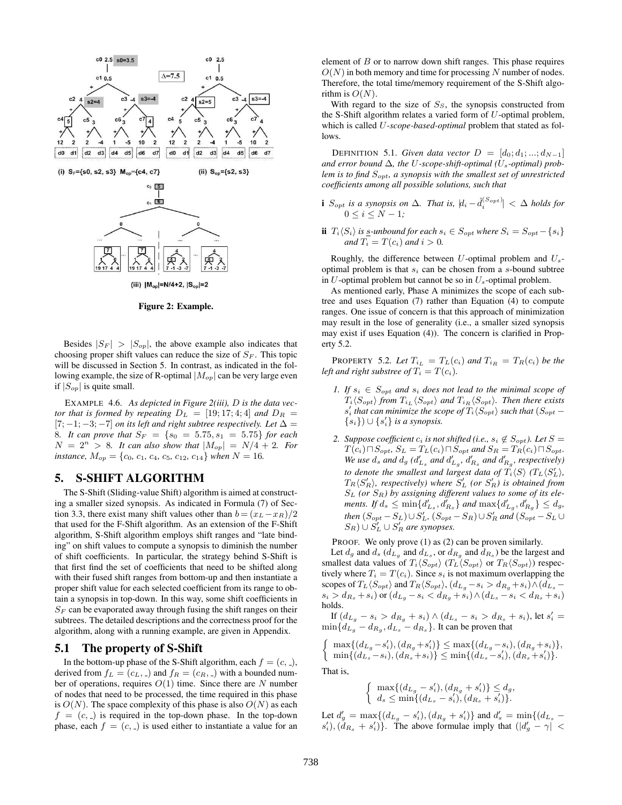

Figure 2: Example.

Besides  $|S_F| > |S_{op}|$ , the above example also indicates that choosing proper shift values can reduce the size of  $S_F$ . This topic will be discussed in Section 5. In contrast, as indicated in the following example, the size of R-optimal  $|M_{op}|$  can be very large even if  $|S_{op}|$  is quite small.

EXAMPLE 4.6. *As depicted in Figure 2(iii),* D *is the data vector that is formed by repeating*  $D_L = [19; 17; 4; 4]$  *and*  $D_R =$  $[7; -1; -3; -7]$  *on its left and right subtree respectively. Let*  $\Delta =$ 8*. It can prove that*  $S_F = \{s_0 = 5.75, s_1 = 5.75\}$  *for each*  $N = 2^n > 8$ *. It can also show that*  $|M_{op}| = N/4 + 2$ *. For instance,*  $M_{op} = \{c_0, c_1, c_4, c_5, c_{12}, c_{14}\}$  when  $N = 16$ *.* 

## 5. S-SHIFT ALGORITHM

The S-Shift (Sliding-value Shift) algorithm is aimed at constructing a smaller sized synopsis. As indicated in Formula (7) of Section 3.3, there exist many shift values other than  $b = (x_L - x_R)/2$ that used for the F-Shift algorithm. As an extension of the F-Shift algorithm, S-Shift algorithm employs shift ranges and "late binding" on shift values to compute a synopsis to diminish the number of shift coefficients. In particular, the strategy behind S-Shift is that first find the set of coefficients that need to be shifted along with their fused shift ranges from bottom-up and then instantiate a proper shift value for each selected coefficient from its range to obtain a synopsis in top-down. In this way, some shift coefficients in  $S_F$  can be evaporated away through fusing the shift ranges on their subtrees. The detailed descriptions and the correctness proof for the algorithm, along with a running example, are given in Appendix.

#### 5.1 The property of S-Shift

In the bottom-up phase of the S-Shift algorithm, each  $f = (c, \_)$ , derived from  $f_L = (c_L, z)$  and  $f_R = (c_R, z)$  with a bounded number of operations, requires  $O(1)$  time. Since there are N number of nodes that need to be processed, the time required in this phase is  $O(N)$ . The space complexity of this phase is also  $O(N)$  as each  $f = (c, c)$  is required in the top-down phase. In the top-down phase, each  $f = (c, z)$  is used either to instantiate a value for an element of  $B$  or to narrow down shift ranges. This phase requires  $O(N)$  in both memory and time for processing N number of nodes. Therefore, the total time/memory requirement of the S-Shift algorithm is  $O(N)$ .

With regard to the size of  $S<sub>S</sub>$ , the synopsis constructed from the S-Shift algorithm relates a varied form of U-optimal problem, which is called U*-scope-based-optimal* problem that stated as follows.

DEFINITION 5.1. *Given data vector*  $D = [d_0; d_1; ...; d_{N-1}]$ and error bound  $\Delta$ , the U-scope-shift-optimal ( $U_s$ -optimal) prob*lem is to find*  $S_{\text{opt}}$ , a synopsis with the smallest set of unrestricted *coefficients among all possible solutions, such that*

- **i**  $S_{opt}$  is a synopsis on  $\Delta$ . That is,  $|d_i \hat{d}_i^{(S_{opt})}| < \Delta$  holds for  $0 \le i \le N - 1$ ;
- ii  $T_i\langle S_i \rangle$  *is* <u>s</u>-unbound for each  $s_i$  ∈  $S_{opt}$  where  $S_i$  =  $S_{opt}$  − { $s_i$ } *and*  $T_i = T(c_i)$  *and*  $i > 0$ *.*

Roughly, the difference between  $U$ -optimal problem and  $U_s$ optimal problem is that  $s_i$  can be chosen from a s-bound subtree in  $U$ -optimal problem but cannot be so in  $U_s$ -optimal problem.

As mentioned early, Phase A minimizes the scope of each subtree and uses Equation (7) rather than Equation (4) to compute ranges. One issue of concern is that this approach of minimization may result in the lose of generality (i.e., a smaller sized synopsis may exist if uses Equation (4)). The concern is clarified in Property 5.2.

**PROPERTY** 5.2. Let  $T_{i_L} = T_L(c_i)$  and  $T_{i_R} = T_R(c_i)$  be the *left and right substree of*  $\overline{T_i} = T(c_i)$ *.* 

- *1. If*  $s_i \in S_{opt}$  *and*  $s_i$  *does not lead to the minimal scope of*  $T_i\langle S_{opt} \rangle$  from  $T_{i_L} \langle S_{opt} \rangle$  and  $T_{i_R} \langle S_{opt} \rangle$ . Then there exists  $s'_{i}$  that can minimize the scope of  $T_{i} \langle S_{opt} \rangle$  such that  $(S_{opt} {s_i}$ )  $\cup$   ${s'_i}$  *is a synopsis.*
- *2. Suppose coefficient*  $c_i$  *is not shifted (i.e.,*  $s_i \notin S_{opt}$ *). Let*  $S =$  $T(c_i) \sqcap S_{opt}$ ,  $S_L = T_L(c_i) \sqcap S_{opt}$  and  $S_R = T_R(c_i) \sqcap S_{opt}$ . *We use*  $d_s$  *and*  $d_g$  *(* $d'_{L_s}$ *and*  $d'_{L_g}$ *,*  $d'_{R_s}$ *and*  $d'_{R_g}$ *, respectively) to denote the smallest and largest data of*  $\widetilde{T}_i \langle S \rangle$   $(T_L \langle S'_L \rangle,$  $T_R\langle S'_R \rangle$ , respectively) where  $S'_L$  (or  $S'_R$ ) is obtained from S<sup>L</sup> *(or* SR*) by assigning different values to some of its elements.* If  $d_s \le \min\{d'_{L_s}, d'_{R_s}\}\$ and  $\max\{d'_{L_g}, d'_{R_g}\} \le d_g$ , *then*  $(S_{opt} - S_L) \cup S'_L$ ,  $(S_{opt} - S_R) \cup S'_R$  and  $(S_{opt} - S_L \cup S'_L)$  $(S_R) \cup S'_L \cup S'_R$  are synopses.

PROOF. We only prove (1) as (2) can be proven similarly.

Let  $d_g$  and  $d_s$  ( $d_{L_g}$  and  $d_{L_s}$ , or  $d_{R_g}$  and  $d_{R_s}$ ) be the largest and smallest data values of  $T_i \langle S_{opt} \rangle$  ( $T_L \langle S_{opt} \rangle$ ) or  $T_R \langle S_{opt} \rangle$ ) respectively where  $T_i = T(c_i)$ . Since  $s_i$  is not maximum overlapping the scopes of  $T_L\langle S_{opt} \rangle$  and  $T_R\langle S_{opt} \rangle$ ,  $(d_{L_g} - s_i > d_{R_g} + s_i) \wedge (d_{L_g}$  $s_i > d_{R_s} + s_i)$  or  $(d_{L_g} - s_i < d_{R_g} + s_i) \wedge (d_{L_s} - s_i < d_{R_s} + s_i)$ holds.

If  $(d_{L_g} - s_i > d_{R_g} + s_i) \wedge (d_{L_s} - s_i > d_{R_s} + s_i)$ , let  $s'_i =$  $\min\{d_{L_g}-d_{R_g},d_{L_s}-d_{R_s}\}\.$  It can be proven that

 $\int \max\{(d_{L_g} - s'_i), (d_{R_g} + s'_i)\} \leq \max\{(d_{L_g} - s_i), (d_{R_g} + s_i)\},$  $\min\{(d_{L_s}-s_i),(d_{R_s}+s_i)\}\leq \min\{(d_{L_s}-s'_i),(d_{R_s}+s'_i)\}.$ That is,

$$
\begin{cases} \max\{(d_{L_g} - s'_i), (d_{R_g} + s'_i)\} \le d_g, \\ d_s \le \min\{(d_{L_s} - s'_i), (d_{R_s} + s'_i)\}.\end{cases}
$$

Let  $d'_g = \max\{(d_{L_g} - s'_i), (d_{R_g} + s'_i)\}\$ and  $d'_s = \min\{(d_{L_s} - s'_i)\}$  $s'_i$ ),  $(d_{R_s} + s'_i)$ . The above formulae imply that  $(|d'_g - \gamma|$  <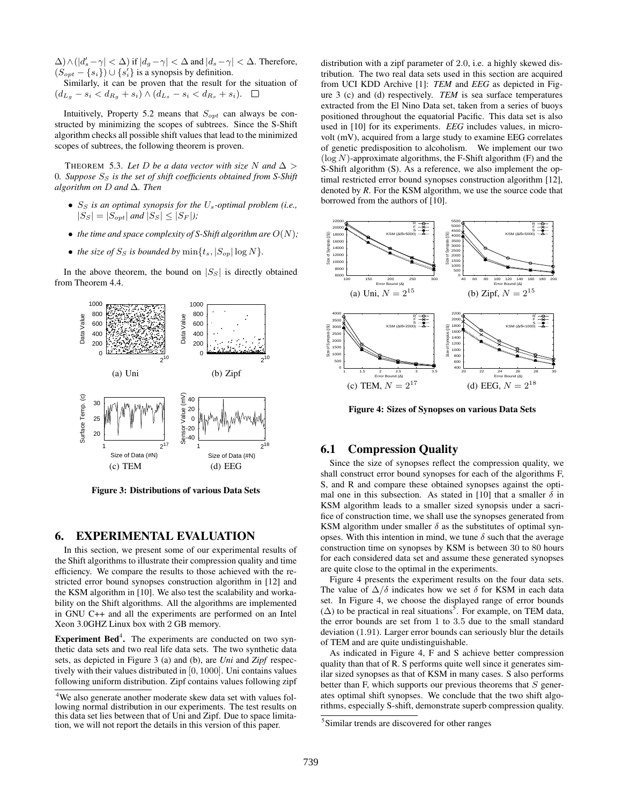$\Delta$ )  $\wedge (|d'_s - \gamma| < \Delta)$  if  $|d_g - \gamma| < \Delta$  and  $|d_s - \gamma| < \Delta$ . Therefore,  $(S_{opt} - \{s_i\}) \cup \{s_i'\}$  is a synopsis by definition.

Similarly, it can be proven that the result for the situation of  $(d_{L_g} - s_i < d_{R_g} + s_i) \wedge (d_{L_s} - s_i < d_{R_s} + s_i).$  □

Intuitively, Property 5.2 means that  $S_{opt}$  can always be constructed by minimizing the scopes of subtrees. Since the S-Shift algorithm checks all possible shift values that lead to the minimized scopes of subtrees, the following theorem is proven.

THEOREM 5.3. Let D be a data vector with size N and  $\Delta$  > 0*. Suppose* S<sup>S</sup> *is the set of shift coefficients obtained from S-Shift algorithm on* D *and* ∆*. Then*

- S<sup>S</sup> *is an optimal synopsis for the* Us*-optimal problem (i.e.,*  $|S_S| = |S_{opt}|$  *and*  $|S_S| \leq |S_F|$ *);*
- *the time and space complexity of S-Shift algorithm are*  $O(N)$ ;
- *the size of*  $S_S$  *is bounded by*  $\min\{t_s, |S_{op}|\log N\}.$

In the above theorem, the bound on  $|S<sub>S</sub>|$  is directly obtained from Theorem 4.4.



Figure 3: Distributions of various Data Sets

#### 6. EXPERIMENTAL EVALUATION

In this section, we present some of our experimental results of the Shift algorithms to illustrate their compression quality and time efficiency. We compare the results to those achieved with the restricted error bound synopses construction algorithm in [12] and the KSM algorithm in [10]. We also test the scalability and workability on the Shift algorithms. All the algorithms are implemented in GNU C++ and all the experiments are performed on an Intel Xeon 3.0GHZ Linux box with 2 GB memory.

**Experiment Bed<sup>4</sup>.** The experiments are conducted on two synthetic data sets and two real life data sets. The two synthetic data sets, as depicted in Figure 3 (a) and (b), are *Uni* and *Zipf* respectively with their values distributed in [0, 1000]. Uni contains values following uniform distribution. Zipf contains values following zipf distribution with a zipf parameter of 2.0, i.e. a highly skewed distribution. The two real data sets used in this section are acquired from UCI KDD Archive [1]: *TEM* and *EEG* as depicted in Figure 3 (c) and (d) respectively. *TEM* is sea surface temperatures extracted from the El Nino Data set, taken from a series of buoys positioned throughout the equatorial Pacific. This data set is also used in [10] for its experiments. *EEG* includes values, in microvolt (mV), acquired from a large study to examine EEG correlates of genetic predisposition to alcoholism. We implement our two  $(\log N)$ -approximate algorithms, the F-Shift algorithm (F) and the S-Shift algorithm (S). As a reference, we also implement the optimal restricted error bound synopses construction algorithm [12], denoted by *R*. For the KSM algorithm, we use the source code that borrowed from the authors of [10].



Figure 4: Sizes of Synopses on various Data Sets

## 6.1 Compression Quality

Since the size of synopses reflect the compression quality, we shall construct error bound synopses for each of the algorithms F, S, and R and compare these obtained synopses against the optimal one in this subsection. As stated in [10] that a smaller  $\delta$  in KSM algorithm leads to a smaller sized synopsis under a sacrifice of construction time, we shall use the synopses generated from KSM algorithm under smaller  $\delta$  as the substitutes of optimal synopses. With this intention in mind, we tune  $\delta$  such that the average construction time on synopses by KSM is between 30 to 80 hours for each considered data set and assume these generated synopses are quite close to the optimal in the experiments.

Figure 4 presents the experiment results on the four data sets. The value of  $\Delta/\delta$  indicates how we set  $\delta$  for KSM in each data set. In Figure 4, we choose the displayed range of error bounds ( $\Delta$ ) to be practical in real situations<sup>5</sup>. For example, on TEM data, the error bounds are set from 1 to 3.5 due to the small standard deviation (1.91). Larger error bounds can seriously blur the details of TEM and are quite undistinguishable.

As indicated in Figure 4, F and S achieve better compression quality than that of R. S performs quite well since it generates similar sized synopses as that of KSM in many cases. S also performs better than F, which supports our previous theorems that  $S$  generates optimal shift synopses. We conclude that the two shift algorithms, especially S-shift, demonstrate superb compression quality.

<sup>4</sup>We also generate another moderate skew data set with values following normal distribution in our experiments. The test results on this data set lies between that of Uni and Zipf. Due to space limitation, we will not report the details in this version of this paper.

<sup>&</sup>lt;sup>5</sup>Similar trends are discovered for other ranges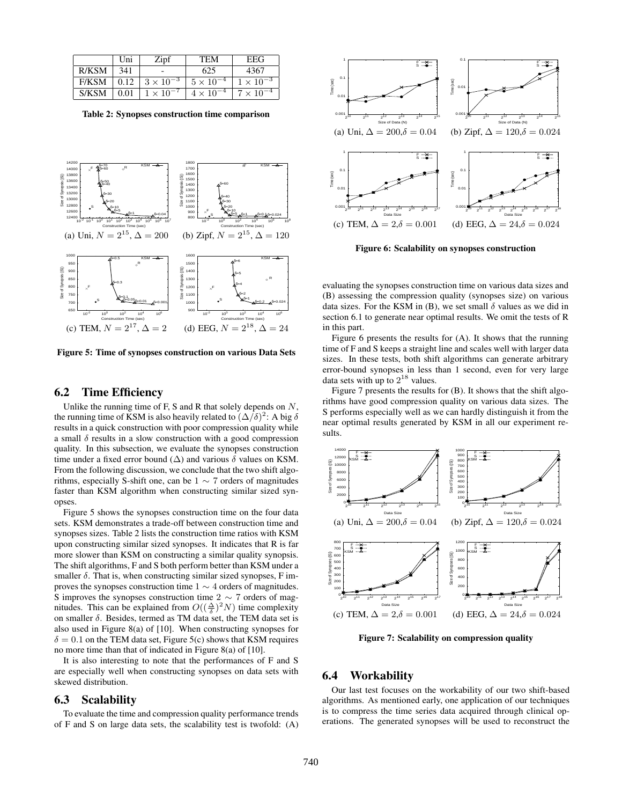|              | Uni  | Zipf               | <b>TEM</b>         | EEG                |
|--------------|------|--------------------|--------------------|--------------------|
| R/KSM        | 341  |                    | 625                | 4367               |
| <b>F/KSM</b> | 0.12 | $3 \times 10^{-3}$ | $5 \times 10^{-4}$ | $1 \times 10^{-3}$ |
| S/KSM        | 0.01 | $1 \times 10^{-7}$ | $4 \times 10^{-4}$ | $7 \times 10^{-4}$ |

Table 2: Synopses construction time comparison



Figure 5: Time of synopses construction on various Data Sets

#### 6.2 Time Efficiency

Unlike the running time of F, S and R that solely depends on  $N$ , the running time of KSM is also heavily related to  $(\Delta/\delta)^2$ : A big  $\delta$ results in a quick construction with poor compression quality while a small  $\delta$  results in a slow construction with a good compression quality. In this subsection, we evaluate the synopses construction time under a fixed error bound ( $\Delta$ ) and various  $\delta$  values on KSM. From the following discussion, we conclude that the two shift algorithms, especially S-shift one, can be  $1 \sim 7$  orders of magnitudes faster than KSM algorithm when constructing similar sized synopses.

Figure 5 shows the synopses construction time on the four data sets. KSM demonstrates a trade-off between construction time and synopses sizes. Table 2 lists the construction time ratios with KSM upon constructing similar sized synopses. It indicates that R is far more slower than KSM on constructing a similar quality synopsis. The shift algorithms, F and S both perform better than KSM under a smaller  $\delta$ . That is, when constructing similar sized synopses, F improves the synopses construction time  $1 \sim 4$  orders of magnitudes. S improves the synopses construction time  $2 \sim 7$  orders of magnitudes. This can be explained from  $O((\frac{\Delta}{\delta})^2 N)$  time complexity on smaller  $\delta$ . Besides, termed as TM data set, the TEM data set is also used in Figure 8(a) of [10]. When constructing synopses for  $\delta = 0.1$  on the TEM data set, Figure 5(c) shows that KSM requires no more time than that of indicated in Figure 8(a) of [10].

It is also interesting to note that the performances of F and S are especially well when constructing synopses on data sets with skewed distribution.

#### 6.3 Scalability

To evaluate the time and compression quality performance trends of F and S on large data sets, the scalability test is twofold: (A)



Figure 6: Scalability on synopses construction

evaluating the synopses construction time on various data sizes and (B) assessing the compression quality (synopses size) on various data sizes. For the KSM in (B), we set small  $\delta$  values as we did in section 6.1 to generate near optimal results. We omit the tests of R in this part.

Figure 6 presents the results for (A). It shows that the running time of F and S keeps a straight line and scales well with larger data sizes. In these tests, both shift algorithms can generate arbitrary error-bound synopses in less than 1 second, even for very large data sets with up to  $2^{18}$  values.

Figure 7 presents the results for (B). It shows that the shift algorithms have good compression quality on various data sizes. The S performs especially well as we can hardly distinguish it from the near optimal results generated by KSM in all our experiment results.



Figure 7: Scalability on compression quality

#### 6.4 Workability

Our last test focuses on the workability of our two shift-based algorithms. As mentioned early, one application of our techniques is to compress the time series data acquired through clinical operations. The generated synopses will be used to reconstruct the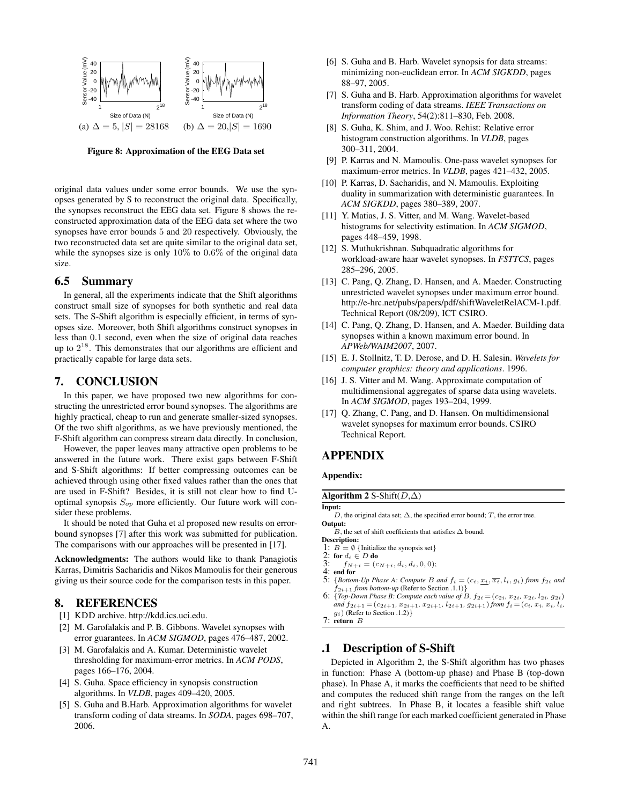

Figure 8: Approximation of the EEG Data set

original data values under some error bounds. We use the synopses generated by S to reconstruct the original data. Specifically, the synopses reconstruct the EEG data set. Figure 8 shows the reconstructed approximation data of the EEG data set where the two synopses have error bounds 5 and 20 respectively. Obviously, the two reconstructed data set are quite similar to the original data set, while the synopses size is only  $10\%$  to  $0.6\%$  of the original data size.

## 6.5 Summary

In general, all the experiments indicate that the Shift algorithms construct small size of synopses for both synthetic and real data sets. The S-Shift algorithm is especially efficient, in terms of synopses size. Moreover, both Shift algorithms construct synopses in less than 0.1 second, even when the size of original data reaches up to  $2^{18}$ . This demonstrates that our algorithms are efficient and practically capable for large data sets.

### 7. CONCLUSION

In this paper, we have proposed two new algorithms for constructing the unrestricted error bound synopses. The algorithms are highly practical, cheap to run and generate smaller-sized synopses. Of the two shift algorithms, as we have previously mentioned, the F-Shift algorithm can compress stream data directly. In conclusion,

However, the paper leaves many attractive open problems to be answered in the future work. There exist gaps between F-Shift and S-Shift algorithms: If better compressing outcomes can be achieved through using other fixed values rather than the ones that are used in F-Shift? Besides, it is still not clear how to find Uoptimal synopsis  $S_{op}$  more efficiently. Our future work will consider these problems.

It should be noted that Guha et al proposed new results on errorbound synopses [7] after this work was submitted for publication. The comparisons with our approaches will be presented in [17].

Acknowledgments: The authors would like to thank Panagiotis Karras, Dimitris Sacharidis and Nikos Mamoulis for their generous giving us their source code for the comparison tests in this paper.

## 8. REFERENCES

- [1] KDD archive. http://kdd.ics.uci.edu.
- [2] M. Garofalakis and P. B. Gibbons. Wavelet synopses with error guarantees. In *ACM SIGMOD*, pages 476–487, 2002.
- [3] M. Garofalakis and A. Kumar. Deterministic wavelet thresholding for maximum-error metrics. In *ACM PODS*, pages 166–176, 2004.
- [4] S. Guha. Space efficiency in synopsis construction algorithms. In *VLDB*, pages 409–420, 2005.
- [5] S. Guha and B.Harb. Approximation algorithms for wavelet transform coding of data streams. In *SODA*, pages 698–707, 2006.
- [6] S. Guha and B. Harb. Wavelet synopsis for data streams: minimizing non-euclidean error. In *ACM SIGKDD*, pages 88–97, 2005.
- [7] S. Guha and B. Harb. Approximation algorithms for wavelet transform coding of data streams. *IEEE Transactions on Information Theory*, 54(2):811–830, Feb. 2008.
- [8] S. Guha, K. Shim, and J. Woo. Rehist: Relative error histogram construction algorithms. In *VLDB*, pages 300–311, 2004.
- [9] P. Karras and N. Mamoulis. One-pass wavelet synopses for maximum-error metrics. In *VLDB*, pages 421–432, 2005.
- [10] P. Karras, D. Sacharidis, and N. Mamoulis. Exploiting duality in summarization with deterministic guarantees. In *ACM SIGKDD*, pages 380–389, 2007.
- [11] Y. Matias, J. S. Vitter, and M. Wang. Wavelet-based histograms for selectivity estimation. In *ACM SIGMOD*, pages 448–459, 1998.
- [12] S. Muthukrishnan. Subquadratic algorithms for workload-aware haar wavelet synopses. In *FSTTCS*, pages 285–296, 2005.
- [13] C. Pang, O. Zhang, D. Hansen, and A. Maeder. Constructing unrestricted wavelet synopses under maximum error bound. http://e-hrc.net/pubs/papers/pdf/shiftWaveletRelACM-1.pdf. Technical Report (08/209), ICT CSIRO.
- [14] C. Pang, O. Zhang, D. Hansen, and A. Maeder. Building data synopses within a known maximum error bound. In *APWeb/WAIM2007*, 2007.
- [15] E. J. Stollnitz, T. D. Derose, and D. H. Salesin. *Wavelets for computer graphics: theory and applications*. 1996.
- [16] J. S. Vitter and M. Wang. Approximate computation of multidimensional aggregates of sparse data using wavelets. In *ACM SIGMOD*, pages 193–204, 1999.
- [17] Q. Zhang, C. Pang, and D. Hansen. On multidimensional wavelet synopses for maximum error bounds. CSIRO Technical Report.

## APPENDIX

#### Appendix:

#### Algorithm 2 S-Shift( $D,\Delta$ )

Input:

- D, the original data set;  $\Delta$ , the specified error bound; T, the error tree. Output:
	- B, the set of shift coefficients that satisfies  $\Delta$  bound.
- Description:
- 
- 1:  $B = \emptyset$  {Initialize the synopsis set}<br>2: for  $d_i \in D$  do  $\overline{3}$ :  $f_{N+i} = (c_{N+i}, d_i, d_i, 0, 0);$
- 
- 4: end for<br>5:  ${Bottom}$  ${5}$ *Abottom-Up Phase A: Compute B and*  $f_i = (c_i, \underline{x_i}, \overline{x_i}, l_i, g_i)$  *from*  $f_{2i}$  *and*  $f_{2i+1}$  *from bottom-up* (Refer to Section .1.1)}
- 6: {*Top-Down Phase B: Compute each value of B,*  $f_{2i} = (c_{2i}, x_{2i}, x_{2i}, l_{2i}, g_{2i})$ *and*  $f_{2i+1} = (c_{2i+1}, x_{2i+1}, x_{2i+1}, l_{2i+1}, g_{2i+1})$  *from*  $f_i = (c_i, x_i, x_i, l_i, g_i)$  (Refer to Section .1.2)}
- 7: return B

## .1 Description of S-Shift

Depicted in Algorithm 2, the S-Shift algorithm has two phases in function: Phase A (bottom-up phase) and Phase B (top-down phase). In Phase A, it marks the coefficients that need to be shifted and computes the reduced shift range from the ranges on the left and right subtrees. In Phase B, it locates a feasible shift value within the shift range for each marked coefficient generated in Phase A.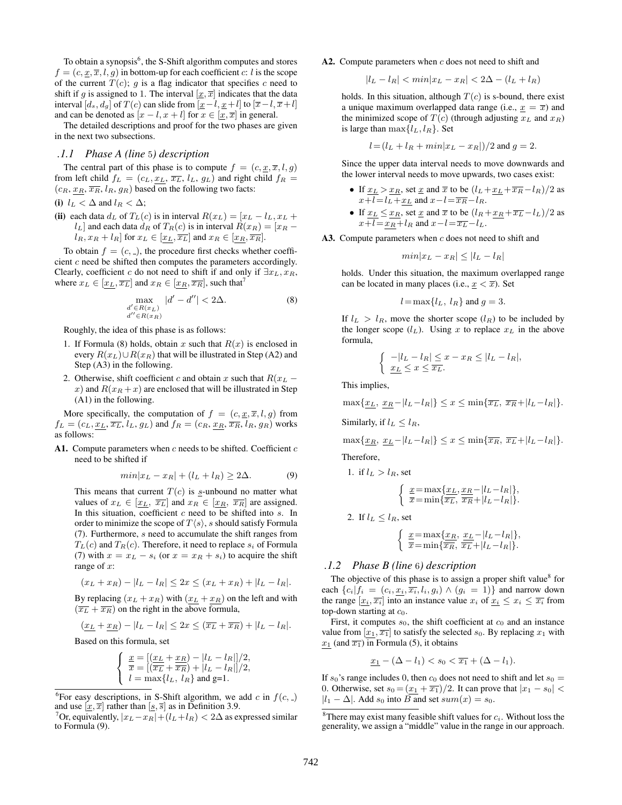To obtain a synopsis<sup>6</sup>, the S-Shift algorithm computes and stores  $f = (c, x, \overline{x}, l, q)$  in bottom-up for each coefficient c: l is the scope of the current  $T(c)$ ; q is a flag indicator that specifies c need to shift if q is assigned to 1. The interval  $[x, \overline{x}]$  indicates that the data interval [d<sub>s</sub>, d<sub>g</sub>] of T(c) can slide from  $[x-l, x+l]$  to  $[\overline{x}-l, \overline{x}+l]$ and can be denoted as  $[x - l, x + l]$  for  $x \in [\underline{x}, \overline{x}]$  in general.

The detailed descriptions and proof for the two phases are given in the next two subsections.

#### *.1.1 Phase A (line* 5*) description*

The central part of this phase is to compute  $f = (c, \underline{x}, \overline{x}, l, g)$ from left child  $f_L = (c_L, \underline{x_L}, \overline{x_L}, l_L, g_L)$  and right child  $f_R =$  $(c_R, \underline{x_R}, \overline{x_R}, l_R, g_R)$  based on the following two facts:

(i)  $l_L < \Delta$  and  $l_R < \Delta$ ;

(ii) each data  $d_L$  of  $T_L(c)$  is in interval  $R(x_L) = [x_L - l_L, x_L +$  $l_L$ ] and each data  $d_R$  of  $T_R(c)$  is in interval  $R(x_R) = [x_R - x_R]$  $l_R, x_R + l_R$  for  $x_L \in [x_L, \overline{x_L}]$  and  $x_R \in [x_R, \overline{x_R}]$ .

To obtain  $f = (c, z)$ , the procedure first checks whether coefficient c need be shifted then computes the parameters accordingly. Clearly, coefficient c do not need to shift if and only if  $\exists x_L, x_R$ , where  $x_L \in [x_L, \overline{x_L}]$  and  $x_R \in [x_R, \overline{x_R}]$ , such that<sup>7</sup>

$$
\max_{\substack{d' \in R(x_L) \\ d'' \in R(x_R)}} |d' - d''| < 2\Delta. \tag{8}
$$

Roughly, the idea of this phase is as follows:

- 1. If Formula (8) holds, obtain x such that  $R(x)$  is enclosed in every  $R(x_L) \cup R(x_R)$  that will be illustrated in Step (A2) and Step (A3) in the following.
- 2. Otherwise, shift coefficient c and obtain x such that  $R(x_L$ x) and  $R(x_R + x)$  are enclosed that will be illustrated in Step (A1) in the following.

More specifically, the computation of  $f = (c, \underline{x}, \overline{x}, l, g)$  from  $f_L = (c_L, \underline{x_L}, \overline{x_L}, l_L, g_L)$  and  $f_R = (c_R, \underline{x_R}, \overline{x_R}, l_R, g_R)$  works as follows:

A1. Compute parameters when  $c$  needs to be shifted. Coefficient  $c$ need to be shifted if

$$
min|x_L - x_R| + (l_L + l_R) \ge 2\Delta.
$$
 (9)

This means that current  $T(c)$  is s-unbound no matter what values of  $x_L \in [x_L, \overline{x_L}]$  and  $x_R \in [x_R, \overline{x_R}]$  are assigned. In this situation, coefficient  $c$  need to be shifted into  $s$ . In order to minimize the scope of  $T\langle s \rangle$ , s should satisfy Formula (7). Furthermore, s need to accumulate the shift ranges from  $T_L(c)$  and  $T_R(c)$ . Therefore, it need to replace  $s_i$  of Formula (7) with  $x = x_L - s_i$  (or  $x = x_R + s_i$ ) to acquire the shift range of x:

$$
(x_L + x_R) - |l_L - l_R| \le 2x \le (x_L + x_R) + |l_L - l_R|.
$$

By replacing  $(x_L + x_R)$  with  $(x_L + x_R)$  on the left and with  $(\overline{x_L} + \overline{x_R})$  on the right in the above formula,

$$
(\underline{x}_L + \underline{x}_R) - |l_L - l_R| \le 2x \le (\overline{x}_L + \overline{x}_R) + |l_L - l_R|.
$$

Based on this formula, set

$$
\begin{cases}\n\frac{x}{\overline{x}} = \left[ \frac{(x_L + x_R)}{(\overline{x_L} + \overline{x_R})} - |l_L - l_R| \right] / 2, \\
l = \max \{ l_L, l_R \} \text{ and } g = 1.\n\end{cases}
$$

A2. Compute parameters when  $c$  does not need to shift and

 $|l_L - l_R| < min|x_L - x_R| < 2\Delta - (l_L + l_R)$ 

holds. In this situation, although  $T(c)$  is s-bound, there exist a unique maximum overlapped data range (i.e.,  $x = \overline{x}$ ) and the minimized scope of  $T(c)$  (through adjusting  $x<sub>L</sub>$  and  $x<sub>R</sub>$ ) is large than  $\max\{l_L, l_R\}$ . Set

$$
l = (l_L + l_R + min|x_L - x_R|)/2
$$
 and  $g = 2$ .

Since the upper data interval needs to move downwards and the lower interval needs to move upwards, two cases exist:

- If  $x_L > x_R$ , set  $x$  and  $\overline{x}$  to be  $(l_L + x_L + \overline{x_R} l_R)/2$  as  $x+1=l_L+x_L$  and  $x-l=\overline{x_R}-l_R$ .
- If  $x_L \leq x_R$ , set  $\underline{x}$  and  $\overline{x}$  to be  $(l_R + x_R + \overline{x_L} l_L)/2$  as  $x+1=x_R + l_R$  and  $x-l=\overline{x_L} - l_L$ .

A3. Compute parameters when  $c$  does not need to shift and

$$
min|x_L - x_R| \leq |l_L - l_R|
$$

holds. Under this situation, the maximum overlapped range can be located in many places (i.e.,  $x < \overline{x}$ ). Set

$$
l = \max\{l_L, l_R\} \text{ and } g = 3.
$$

If  $l_L > l_R$ , move the shorter scope  $(l_R)$  to be included by the longer scope  $(l_L)$ . Using x to replace  $x_L$  in the above formula,

$$
\begin{cases} -|l_L - l_R| \le x - x_R \le |l_L - l_R|, \\ x_L \le x \le \overline{x_L}. \end{cases}
$$

This implies,

$$
\max\{x_L, x_R - |l_L - l_R|\} \le x \le \min\{\overline{x_L}, \overline{x_R} + |l_L - l_R|\}.
$$

Similarly, if  $l_L \leq l_R$ ,

$$
\max\{\underline{x_R}, \underline{x_L} - |l_L - l_R|\} \le x \le \min\{\overline{x_R}, \overline{x_L} + |l_L - l_R|\}.
$$

Therefore,

1. if 
$$
l_L > l_R
$$
, set  
\n
$$
\begin{cases}\n\frac{x}{\overline{x}} = \max\{\frac{x_L}{\overline{x_L}}, \frac{x_R}{\overline{x_R}} - |l_L - l_R|\}, \\
\overline{x} = \min\{\overline{x_L}, \frac{x_R}{\overline{x_R}} + |l_L - l_R|\}.\n\end{cases}
$$
\n2. If  $l_L \leq l_R$ , set

# $\int \underline{x} = \max\{x_R, x_L - |l_L - l_R|\},$  $\overline{x}=\min{\overline{x_R}, \overline{x_L}+|l_L-l_R|}.$

#### *.1.2 Phase B (line* 6*) description*

The objective of this phase is to assign a proper shift value $8$  for each  $\{c_i|f_i = (c_i, \underline{x_i}, \overline{x_i}, l_i, g_i) \wedge (g_i = 1)\}\$  and narrow down the range  $[x_i, \overline{x_i}]$  into an instance value  $x_i$  of  $x_i \leq x_i \leq \overline{x_i}$  from top-down starting at  $c_0$ .

First, it computes  $s_0$ , the shift coefficient at  $c_0$  and an instance value from  $[x_1, \overline{x_1}]$  to satisfy the selected  $s_0$ . By replacing  $x_1$  with  $x_1$  (and  $\overline{x_1}$ ) in Formula (5), it obtains

$$
\underline{x_1} - (\Delta - l_1) < s_0 < \overline{x_1} + (\Delta - l_1).
$$

If s<sub>0</sub>'s range includes 0, then  $c_0$  does not need to shift and let  $s_0 =$ 0. Otherwise, set  $s_0 = (x_1 + \overline{x_1})/2$ . It can prove that  $|x_1 - s_0|$  <  $|l_1 - \Delta|$ . Add  $s_0$  into B and set  $sum(x) = s_0$ .

<sup>&</sup>lt;sup>6</sup>For easy descriptions, in S-Shift algorithm, we add c in  $f(c, z)$ and use  $[\underline{x}, \overline{x}]$  rather than  $[\underline{s}, \overline{s}]$  as in Definition 3.9.

<sup>&</sup>lt;sup>7</sup>Or, equivalently,  $|x_L - x_R| + (l_L + l_R) < 2\Delta$  as expressed similar to Formula (9).

<sup>&</sup>lt;sup>8</sup>There may exist many feasible shift values for  $c_i$ . Without loss the generality, we assign a "middle" value in the range in our approach.